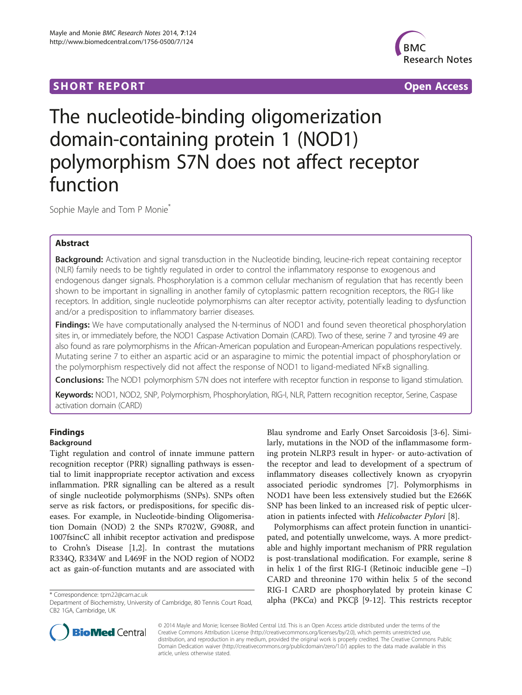## **SHORT REPORT SHORT CONSUMING THE SHORT CONSUMING THE SHORT CONSUMING THE SHORT CONSUMING THE SHORT CONSUMING THE SHORT CONSUMING THE SHORT CONSUMING THE SHORT CONSUMING THE SHORT CONSUMING THE SHORT CONSUMING THE SHORT**



# The nucleotide-binding oligomerization domain-containing protein 1 (NOD1) polymorphism S7N does not affect receptor function

Sophie Mayle and Tom P Monie<sup>\*</sup>

## Abstract

Background: Activation and signal transduction in the Nucleotide binding, leucine-rich repeat containing receptor (NLR) family needs to be tightly regulated in order to control the inflammatory response to exogenous and endogenous danger signals. Phosphorylation is a common cellular mechanism of regulation that has recently been shown to be important in signalling in another family of cytoplasmic pattern recognition receptors, the RIG-I like receptors. In addition, single nucleotide polymorphisms can alter receptor activity, potentially leading to dysfunction and/or a predisposition to inflammatory barrier diseases.

Findings: We have computationally analysed the N-terminus of NOD1 and found seven theoretical phosphorylation sites in, or immediately before, the NOD1 Caspase Activation Domain (CARD). Two of these, serine 7 and tyrosine 49 are also found as rare polymorphisms in the African-American population and European-American populations respectively. Mutating serine 7 to either an aspartic acid or an asparagine to mimic the potential impact of phosphorylation or the polymorphism respectively did not affect the response of NOD1 to ligand-mediated NFκB signalling.

**Conclusions:** The NOD1 polymorphism S7N does not interfere with receptor function in response to ligand stimulation.

Keywords: NOD1, NOD2, SNP, Polymorphism, Phosphorylation, RIG-I, NLR, Pattern recognition receptor, Serine, Caspase activation domain (CARD)

## Findings Background

Tight regulation and control of innate immune pattern recognition receptor (PRR) signalling pathways is essential to limit inappropriate receptor activation and excess inflammation. PRR signalling can be altered as a result of single nucleotide polymorphisms (SNPs). SNPs often serve as risk factors, or predispositions, for specific diseases. For example, in Nucleotide-binding Oligomerisation Domain (NOD) 2 the SNPs R702W, G908R, and 1007fsincC all inhibit receptor activation and predispose to Crohn's Disease [\[1,2](#page-4-0)]. In contrast the mutations R334Q, R334W and L469F in the NOD region of NOD2 act as gain-of-function mutants and are associated with

Blau syndrome and Early Onset Sarcoidosis [\[3](#page-4-0)-[6\]](#page-4-0). Similarly, mutations in the NOD of the inflammasome forming protein NLRP3 result in hyper- or auto-activation of the receptor and lead to development of a spectrum of inflammatory diseases collectively known as cryopyrin associated periodic syndromes [[7\]](#page-4-0). Polymorphisms in NOD1 have been less extensively studied but the E266K SNP has been linked to an increased risk of peptic ulceration in patients infected with Helicobacter Pylori [\[8](#page-4-0)].

Polymorphisms can affect protein function in unanticipated, and potentially unwelcome, ways. A more predictable and highly important mechanism of PRR regulation is post-translational modification. For example, serine 8 in helix 1 of the first RIG-I (Retinoic inducible gene –I) CARD and threonine 170 within helix 5 of the second RIG-I CARD are phosphorylated by protein kinase C \* Correspondence: tpm22@cam.ac.uk<br>Department of Biochemistry, University of Cambridge, 80 Tennis Court Road, alpha (PKCα) and PKCβ [[9-12\]](#page-4-0). This restricts receptor



© 2014 Mayle and Monie; licensee BioMed Central Ltd. This is an Open Access article distributed under the terms of the Creative Commons Attribution License (<http://creativecommons.org/licenses/by/2.0>), which permits unrestricted use, distribution, and reproduction in any medium, provided the original work is properly credited. The Creative Commons Public Domain Dedication waiver [\(http://creativecommons.org/publicdomain/zero/1.0/\)](http://creativecommons.org/publicdomain/zero/1.0/) applies to the data made available in this article, unless otherwise stated.

Department of Biochemistry, University of Cambridge, 80 Tennis Court Road, CB2 1GA, Cambridge, UK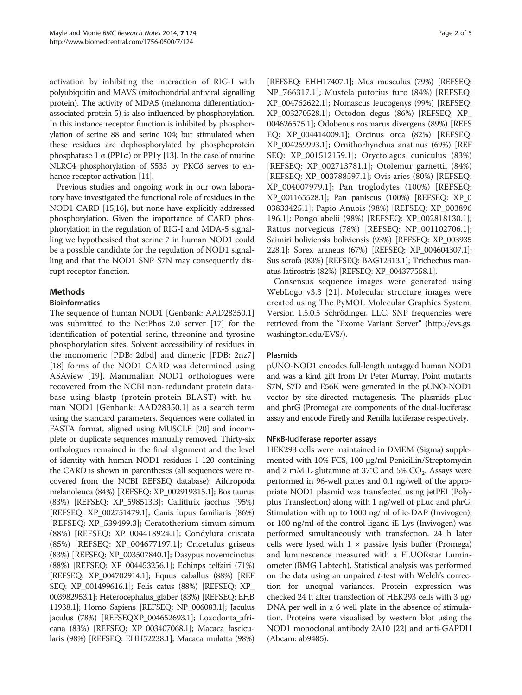activation by inhibiting the interaction of RIG-I with polyubiquitin and MAVS (mitochondrial antiviral signalling protein). The activity of MDA5 (melanoma differentiationassociated protein 5) is also influenced by phosphorylation. In this instance receptor function is inhibited by phosphorylation of serine 88 and serine 104; but stimulated when these residues are dephosphorylated by phosphoprotein phosphatase 1 α (PP1α) or PP1γ [\[13\]](#page-4-0). In the case of murine NLRC4 phosphorylation of S533 by PKCδ serves to en-hance receptor activation [\[14](#page-4-0)].

Previous studies and ongoing work in our own laboratory have investigated the functional role of residues in the NOD1 CARD [\[15,16\]](#page-4-0), but none have explicitly addressed phosphorylation. Given the importance of CARD phosphorylation in the regulation of RIG-I and MDA-5 signalling we hypothesised that serine 7 in human NOD1 could be a possible candidate for the regulation of NOD1 signalling and that the NOD1 SNP S7N may consequently disrupt receptor function.

## Methods

## **Bioinformatics**

The sequence of human NOD1 [Genbank: AAD28350.1] was submitted to the NetPhos 2.0 server [\[17\]](#page-4-0) for the identification of potential serine, threonine and tyrosine phosphorylation sites. Solvent accessibility of residues in the monomeric [PDB: 2dbd] and dimeric [PDB: 2nz7] [[18\]](#page-4-0) forms of the NOD1 CARD was determined using ASAview [[19\]](#page-4-0). Mammalian NOD1 orthologues were recovered from the NCBI non-redundant protein database using blastp (protein-protein BLAST) with human NOD1 [Genbank: AAD28350.1] as a search term using the standard parameters. Sequences were collated in FASTA format, aligned using MUSCLE [\[20\]](#page-4-0) and incomplete or duplicate sequences manually removed. Thirty-six orthologues remained in the final alignment and the level of identity with human NOD1 residues 1-120 containing the CARD is shown in parentheses (all sequences were recovered from the NCBI REFSEQ database): Ailuropoda melanoleuca (84%) [REFSEQ: XP\_002919315.1]; Bos taurus (83%) [REFSEQ: XP\_598513.3]; Callithrix jacchus (95%) [REFSEQ: XP\_002751479.1]; Canis lupus familiaris (86%) [REFSEQ: XP\_539499.3]; Ceratotherium simum simum (88%) [REFSEQ: XP\_004418924.1]; Condylura cristata (85%) [REFSEQ: XP\_004677197.1]; Cricetulus griseus (83%) [REFSEQ: XP\_003507840.1]; Dasypus novemcinctus (88%) [REFSEQ: XP\_004453256.1]; Echinps telfairi (71%) [REFSEQ: XP\_004702914.1]; Equus caballus (88%) [REF SEQ: XP\_001499616.1]; Felis catus (88%) [REFSEQ: XP\_ 003982953.1]; Heterocephalus\_glaber (83%) [REFSEQ: EHB 11938.1]; Homo Sapiens [REFSEQ: NP\_006083.1]; Jaculus jaculus (78%) [REFSEQXP\_004652693.1]; Loxodonta\_africana (83%) [REFSEQ: XP\_003407068.1]; Macaca fascicularis (98%) [REFSEQ: EHH52238.1]; Macaca mulatta (98%)

[REFSEQ: EHH17407.1]; Mus musculus (79%) [REFSEQ: NP\_766317.1]; Mustela putorius furo (84%) [REFSEQ: XP\_004762622.1]; Nomascus leucogenys (99%) [REFSEQ: XP\_003270528.1]; Octodon degus (86%) [REFSEQ: XP\_ 004626575.1]; Odobenus rosmarus divergens (89%) [REFS EQ: XP\_004414009.1]; Orcinus orca (82%) [REFSEQ: XP\_004269993.1]; Ornithorhynchus anatinus (69%) [REF SEQ: XP\_001512159.1]; Oryctolagus cuniculus (83%) [REFSEQ: XP\_002713781.1]; Otolemur garnettii (84%) [REFSEQ: XP\_003788597.1]; Ovis aries (80%) [REFSEQ: XP\_004007979.1]; Pan troglodytes (100%) [REFSEQ: XP\_001165528.1]; Pan paniscus (100%) [REFSEQ: XP\_0 03833425.1]; Papio Anubis (98%) [REFSEQ: XP\_003896 196.1]; Pongo abelii (98%) [REFSEQ: XP\_002818130.1]; Rattus norvegicus (78%) [REFSEQ: NP\_001102706.1]; Saimiri boliviensis boliviensis (93%) [REFSEQ: XP\_003935 228.1]; Sorex araneus (67%) [REFSEQ: XP\_004604307.1]; Sus scrofa (83%) [REFSEQ: BAG12313.1]; Trichechus manatus latirostris (82%) [REFSEQ: XP\_004377558.1].

Consensus sequence images were generated using WebLogo v3.3 [[21](#page-4-0)]. Molecular structure images were created using The PyMOL Molecular Graphics System, Version 1.5.0.5 Schrödinger, LLC. SNP frequencies were retrieved from the "Exome Variant Server" [\(http://evs.gs.](http://evs.gs.washington.edu/EVS/) [washington.edu/EVS/](http://evs.gs.washington.edu/EVS/)).

## Plasmids

pUNO-NOD1 encodes full-length untagged human NOD1 and was a kind gift from Dr Peter Murray. Point mutants S7N, S7D and E56K were generated in the pUNO-NOD1 vector by site-directed mutagenesis. The plasmids pLuc and phrG (Promega) are components of the dual-luciferase assay and encode Firefly and Renilla luciferase respectively.

## NFκB-luciferase reporter assays

HEK293 cells were maintained in DMEM (Sigma) supplemented with 10% FCS, 100 μg/ml Penicillin/Streptomycin and 2 mM L-glutamine at  $37^{\circ}$ C and  $5\%$  CO<sub>2</sub>. Assays were performed in 96-well plates and 0.1 ng/well of the appropriate NOD1 plasmid was transfected using jetPEI (Polyplus Transfection) along with 1 ng/well of pLuc and phrG. Stimulation with up to 1000 ng/ml of ie-DAP (Invivogen), or 100 ng/ml of the control ligand iE-Lys (Invivogen) was performed simultaneously with transfection. 24 h later cells were lysed with  $1 \times$  passive lysis buffer (Promega) and luminescence measured with a FLUORstar Luminometer (BMG Labtech). Statistical analysis was performed on the data using an unpaired  $t$ -test with Welch's correction for unequal variances. Protein expression was checked 24 h after transfection of HEK293 cells with 3 μg/ DNA per well in a 6 well plate in the absence of stimulation. Proteins were visualised by western blot using the NOD1 monoclonal antibody 2A10 [[22](#page-4-0)] and anti-GAPDH (Abcam: ab9485).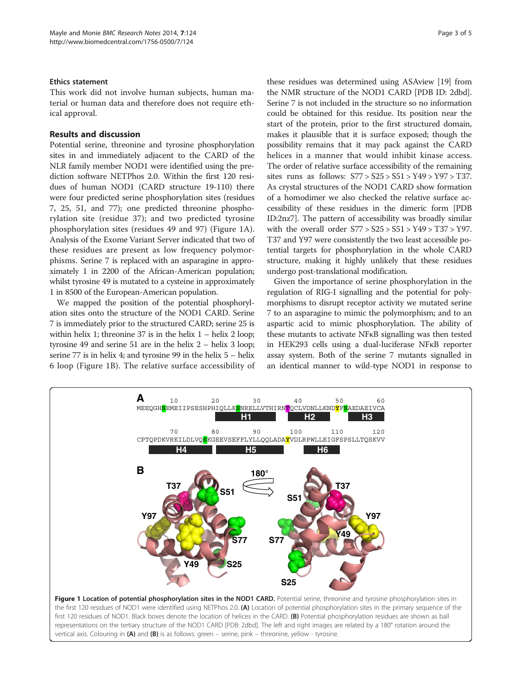#### Ethics statement

This work did not involve human subjects, human material or human data and therefore does not require ethical approval.

### Results and discussion

Potential serine, threonine and tyrosine phosphorylation sites in and immediately adjacent to the CARD of the NLR family member NOD1 were identified using the prediction software NETPhos 2.0. Within the first 120 residues of human NOD1 (CARD structure 19-110) there were four predicted serine phosphorylation sites (residues 7, 25, 51, and 77); one predicted threonine phosphorylation site (residue 37); and two predicted tyrosine phosphorylation sites (residues 49 and 97) (Figure 1A). Analysis of the Exome Variant Server indicated that two of these residues are present as low frequency polymorphisms. Serine 7 is replaced with an asparagine in approximately 1 in 2200 of the African-American population; whilst tyrosine 49 is mutated to a cysteine in approximately 1 in 8500 of the European-American population.

We mapped the position of the potential phosphorylation sites onto the structure of the NOD1 CARD. Serine 7 is immediately prior to the structured CARD; serine 25 is within helix 1; threonine 37 is in the helix  $1 -$  helix 2 loop; tyrosine 49 and serine 51 are in the helix 2 – helix 3 loop; serine 77 is in helix 4; and tyrosine 99 in the helix 5 – helix 6 loop (Figure 1B). The relative surface accessibility of

these residues was determined using ASAview [\[19\]](#page-4-0) from the NMR structure of the NOD1 CARD [PDB ID: 2dbd]. Serine 7 is not included in the structure so no information could be obtained for this residue. Its position near the start of the protein, prior to the first structured domain, makes it plausible that it is surface exposed; though the possibility remains that it may pack against the CARD helices in a manner that would inhibit kinase access. The order of relative surface accessibility of the remaining sites runs as follows: S77 > S25 > S51 > Y49 > Y97 > T37. As crystal structures of the NOD1 CARD show formation of a homodimer we also checked the relative surface accessibility of these residues in the dimeric form [PDB ID:2nz7]. The pattern of accessibility was broadly similar with the overall order S77 > S25 > S51 > Y49 > T37 > Y97. T37 and Y97 were consistently the two least accessible potential targets for phosphorylation in the whole CARD structure, making it highly unlikely that these residues undergo post-translational modification.

Given the importance of serine phosphorylation in the regulation of RIG-I signalling and the potential for polymorphisms to disrupt receptor activity we mutated serine 7 to an asparagine to mimic the polymorphism; and to an aspartic acid to mimic phosphorylation. The ability of these mutants to activate NFκB signalling was then tested in HEK293 cells using a dual-luciferase NFκB reporter assay system. Both of the serine 7 mutants signalled in an identical manner to wild-type NOD1 in response to

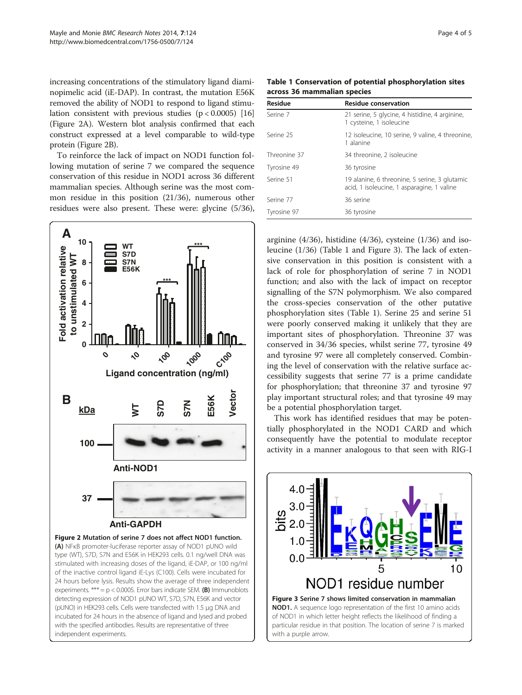increasing concentrations of the stimulatory ligand diaminopimelic acid (iE-DAP). In contrast, the mutation E56K removed the ability of NOD1 to respond to ligand stimulation consistent with previous studies  $(p < 0.0005)$  [[16](#page-4-0)] (Figure 2A). Western blot analysis confirmed that each construct expressed at a level comparable to wild-type protein (Figure 2B).

To reinforce the lack of impact on NOD1 function following mutation of serine 7 we compared the sequence conservation of this residue in NOD1 across 36 different mammalian species. Although serine was the most common residue in this position (21/36), numerous other residues were also present. These were: glycine (5/36),



24 hours before lysis. Results show the average of three independent experiments. \*\*\* =  $p$  < 0.0005. Error bars indicate SEM. (B) Immunoblots detecting expression of NOD1 pUNO WT, S7D, S7N, E56K and vector (pUNO) in HEK293 cells. Cells were transfected with 1.5 μg DNA and incubated for 24 hours in the absence of ligand and lysed and probed with the specified antibodies. Results are representative of three independent experiments.

Table 1 Conservation of potential phosphorylation sites across 36 mammalian species

| Residue      | <b>Residue conservation</b>                                                                 |
|--------------|---------------------------------------------------------------------------------------------|
| Serine 7     | 21 serine, 5 glycine, 4 histidine, 4 arginine,<br>1 cysteine, 1 isoleucine                  |
| Serine 25    | 12 isoleucine, 10 serine, 9 valine, 4 threonine,<br>1 alanine                               |
| Threonine 37 | 34 threonine, 2 isoleucine                                                                  |
| Tyrosine 49  | 36 tyrosine                                                                                 |
| Serine 51    | 19 alanine, 6 threonine, 5 serine, 3 glutamic<br>acid, 1 isoleucine, 1 asparagine, 1 valine |
| Serine 77    | 36 serine                                                                                   |
| Tyrosine 97  | 36 tyrosine                                                                                 |

arginine (4/36), histidine (4/36), cysteine (1/36) and isoleucine (1/36) (Table 1 and Figure 3). The lack of extensive conservation in this position is consistent with a lack of role for phosphorylation of serine 7 in NOD1 function; and also with the lack of impact on receptor signalling of the S7N polymorphism. We also compared the cross-species conservation of the other putative phosphorylation sites (Table 1). Serine 25 and serine 51 were poorly conserved making it unlikely that they are important sites of phosphorylation. Threonine 37 was conserved in 34/36 species, whilst serine 77, tyrosine 49 and tyrosine 97 were all completely conserved. Combining the level of conservation with the relative surface accessibility suggests that serine 77 is a prime candidate for phosphorylation; that threonine 37 and tyrosine 97 play important structural roles; and that tyrosine 49 may be a potential phosphorylation target.

This work has identified residues that may be potentially phosphorylated in the NOD1 CARD and which consequently have the potential to modulate receptor activity in a manner analogous to that seen with RIG-I